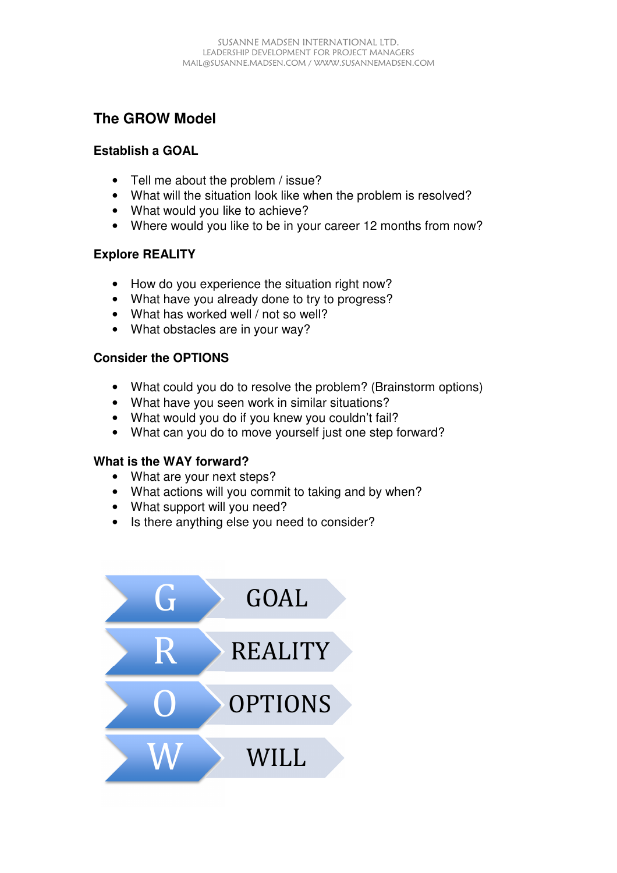## **The GROW Model**

#### **Establish a GOAL**

- Tell me about the problem / issue?
- What will the situation look like when the problem is resolved?
- What would you like to achieve?
- Where would you like to be in your career 12 months from now?

### **Explore REALITY**

- How do you experience the situation right now?
- What have you already done to try to progress?
- What has worked well / not so well?
- What obstacles are in your way?

### **Consider the OPTIONS**

- What could you do to resolve the problem? (Brainstorm options)
- What have you seen work in similar situations?
- What would you do if you knew you couldn't fail?
- What can you do to move yourself just one step forward?

#### **What is the WAY forward?**

- What are your next steps?
- What actions will you commit to taking and by when?
- What support will you need?
- Is there anything else you need to consider?